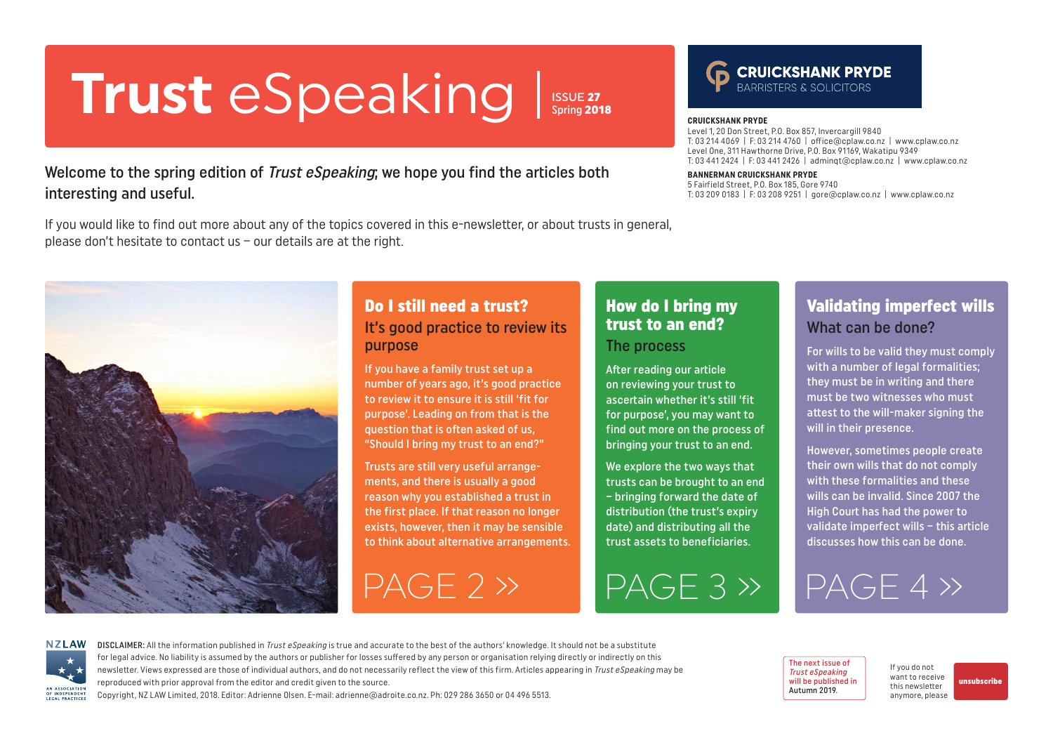# <span id="page-0-0"></span>**Trust** eSpeaking **CRUICKSHANK PRYDE**

ISSUE 27 Spring 2018

### Welcome to the spring edition of *Trust eSpeaking*; we hope you find the articles both interesting and useful.

If you would like to find out more about any of the topics covered in this e-newsletter, or about trusts in general, please don't hesitate to contact us – our details are at the right.

Level 1, 20 Don Street, P.O. Box 857, Invercargill 9840 T: 03 214 4069 | F: 03 214 4760 | office@cplaw.co.nz | www.cplaw.co.nz Level One, 311 Hawthorne Drive, P.O. Box 91169, Wakatipu 9349 T: 03 441 2424 | F: 03 441 2426 | adminqt@cplaw.co.nz | www.cplaw.co.nz

#### **BANNERMAN CRUICKSHANK PRYDE**

5 Fairfield Street, P.O. Box 185, Gore 9740 T: 03 209 0183 | F: 03 208 9251 | gore@cplaw.co.nz | www.cplaw.co.nz

### Do I still need a trust? It's good practice to review its purpose

If you have a family trust set up a number of years ago, it's good practice to review it to ensure it is still 'fit for purpose'. Leading on from that is the question that is often asked of us, "Should I bring my trust to an end?"

Trusts are still very useful arrangements, and there is usually a good reason why you established a trust in the first place. If that reason no longer exists, however, then it may be sensible to think about alternative arrangements.

[PAGE 2 »](#page-1-0) [PAGE 3 »](#page-2-0) [PAGE 4 »](#page-3-0)

### How do I bring my trust to an end? The process

After reading our article on reviewing your trust to ascertain whether it's still 'fit for purpose', you may want to find out more on the process of bringing your trust to an end.

We explore the two ways that trusts can be brought to an end – bringing forward the date of distribution (the trust's expiry date) and distributing all the trust assets to beneficiaries.

Validating imperfect wills What can be done?

For wills to be valid they must comply with a number of legal formalities; they must be in writing and there must be two witnesses who must attest to the will-maker signing the will in their presence.

However, sometimes people create their own wills that do not comply with these formalities and these wills can be invalid. Since 2007 the High Court has had the power to validate imperfect wills – this article discusses how this can be done.



DISCLAIMER: All the information published in Trust eSpeaking is true and accurate to the best of the authors' knowledge. It should not be a substitute for legal advice. No liability is assumed by the authors or publisher for losses suffered by any person or organisation relying directly or indirectly on this newsletter. Views expressed are those of individual authors, and do not necessarily reflect the view of this firm. Articles appearing in Trust eSpeaking may be reproduced with prior approval from the editor and credit given to the source.

Copyright, NZ LAW Limited, 2018. Editor: Adrienne Olsen. [E-mail: adrienne@adroite.co.nz](mailto:adrienne@adroite.co.nz). Ph: 029 286 3650 or 04 496 5513.



If you do not want to receive this newsletter anymore, please

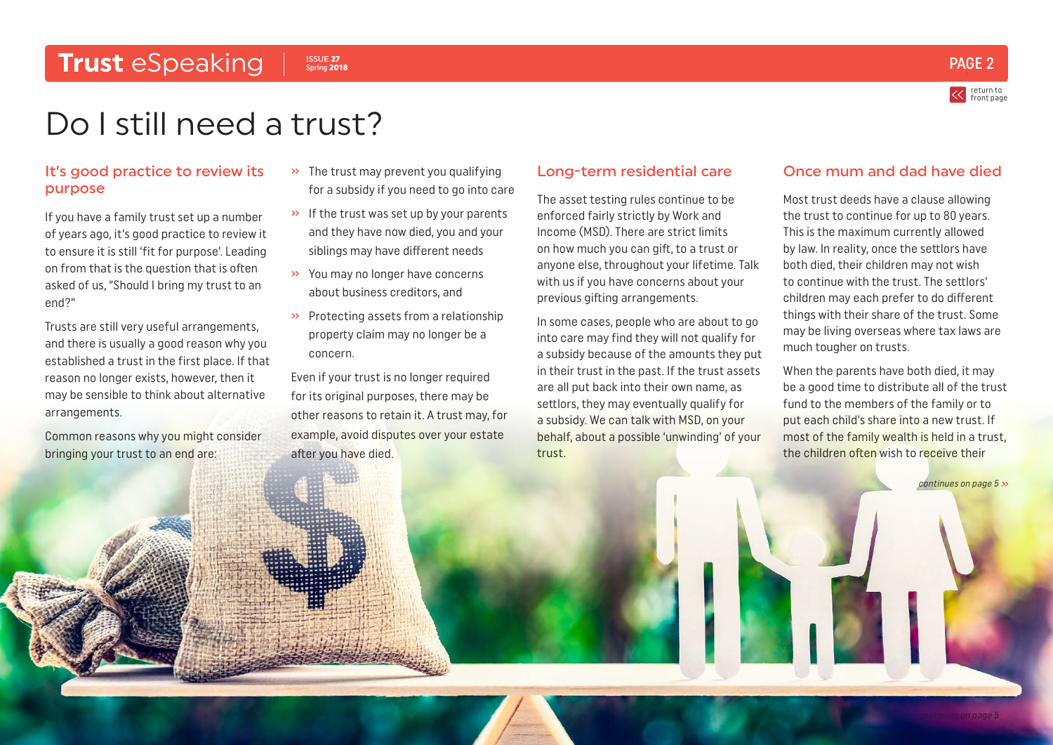## <span id="page-1-0"></span>**Trust** eSpeaking PAGE 2

ISSUE 27 Spring 2018

return to [front page](#page-0-0)

## Do I still need a trust?

#### It's good practice to review its purpose

If you have a family trust set up a number of years ago, it's good practice to review it to ensure it is still 'fit for purpose'. Leading on from that is the question that is often asked of us, "Should I bring my trust to an end?"

Trusts are still very useful arrangements, and there is usually a good reason why you established a trust in the first place. If that reason no longer exists, however, then it may be sensible to think about alternative arrangements.

Common reasons why you might consider bringing your trust to an end are:

- » The trust may prevent you qualifying for a subsidy if you need to go into care
- » If the trust was set up by your parents and they have now died, you and your siblings may have different needs
- » You may no longer have concerns about business creditors, and
- » Protecting assets from a relationship property claim may no longer be a concern.

Even if your trust is no longer required for its original purposes, there may be other reasons to retain it. A trust may, for example, avoid disputes over your estate after you have died.

#### Long-term residential care

The asset testing rules continue to be enforced fairly strictly by Work and Income (MSD). There are strict limits on how much you can gift, to a trust or anyone else, throughout your lifetime. Talk with us if you have concerns about your previous gifting arrangements.

In some cases, people who are about to go into care may find they will not qualify for a subsidy because of the amounts they put in their trust in the past. If the trust assets are all put back into their own name, as settlors, they may eventually qualify for a subsidy. We can talk with MSD, on your behalf, about a possible 'unwinding' of your trust.

#### Once mum and dad have died

Most trust deeds have a clause allowing the trust to continue for up to 80 years. This is the maximum currently allowed by law. In reality, once the settlors have both died, their children may not wish to continue with the trust. The settlors' children may each prefer to do different things with their share of the trust. Some may be living overseas where tax laws are much tougher on trusts.

When the parents have both died, it may be a good time to distribute all of the trust fund to the members of the family or to put each child's share into a new trust. If most of the family wealth is held in a trust, the children often wish to receive their

[continues on page 5](#page-4-0)  $\gg$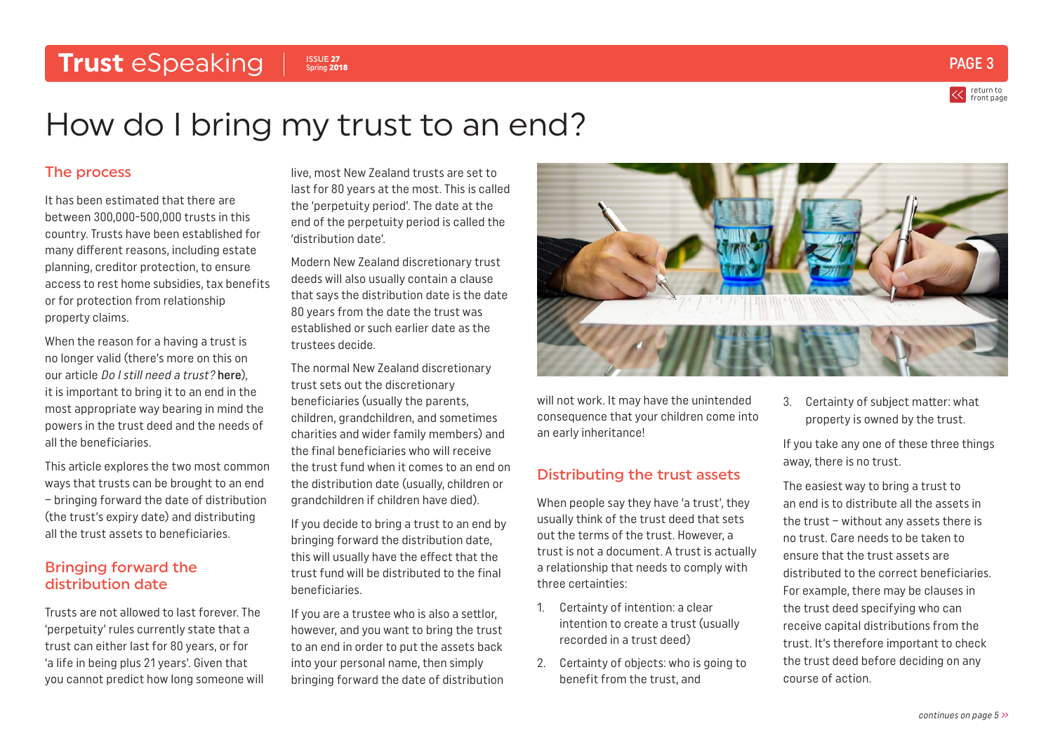### <span id="page-2-0"></span>**Trust** eSpeaking Issue 27



return to [front page](#page-0-0)

## How do I bring my trust to an end?

#### The process

It has been estimated that there are between 300,000-500,000 trusts in this country. Trusts have been established for many different reasons, including estate planning, creditor protection, to ensure access to rest home subsidies, tax benefits or for protection from relationship property claims.

When the reason for a having a trust is no longer valid (there's more on this on our article Do I still need a trust? [here](#page-1-0)), it is important to bring it to an end in the most appropriate way bearing in mind the powers in the trust deed and the needs of all the beneficiaries.

This article explores the two most common ways that trusts can be brought to an end – bringing forward the date of distribution (the trust's expiry date) and distributing all the trust assets to beneficiaries.

#### Bringing forward the distribution date

Trusts are not allowed to last forever. The 'perpetuity' rules currently state that a trust can either last for 80 years, or for 'a life in being plus 21 years'. Given that you cannot predict how long someone will live, most New Zealand trusts are set to last for 80 years at the most. This is called the 'perpetuity period'. The date at the end of the perpetuity period is called the 'distribution date'.

Modern New Zealand discretionary trust deeds will also usually contain a clause that says the distribution date is the date 80 years from the date the trust was established or such earlier date as the trustees decide.

The normal New Zealand discretionary trust sets out the discretionary beneficiaries (usually the parents, children, grandchildren, and sometimes charities and wider family members) and the final beneficiaries who will receive the trust fund when it comes to an end on the distribution date (usually, children or grandchildren if children have died).

If you decide to bring a trust to an end by bringing forward the distribution date, this will usually have the effect that the trust fund will be distributed to the final beneficiaries.

If you are a trustee who is also a settlor, however, and you want to bring the trust to an end in order to put the assets back into your personal name, then simply bringing forward the date of distribution



will not work. It may have the unintended consequence that your children come into an early inheritance!

### Distributing the trust assets

When people say they have 'a trust', they usually think of the trust deed that sets out the terms of the trust. However, a trust is not a document. A trust is actually a relationship that needs to comply with three certainties:

- 1. Certainty of intention: a clear intention to create a trust (usually recorded in a trust deed)
- 2. Certainty of objects: who is going to benefit from the trust, and

3. Certainty of subject matter: what property is owned by the trust.

If you take any one of these three things away, there is no trust.

The easiest way to bring a trust to an end is to distribute all the assets in the trust – without any assets there is no trust. Care needs to be taken to ensure that the trust assets are distributed to the correct beneficiaries. For example, there may be clauses in the trust deed specifying who can receive capital distributions from the trust. It's therefore important to check the trust deed before deciding on any course of action.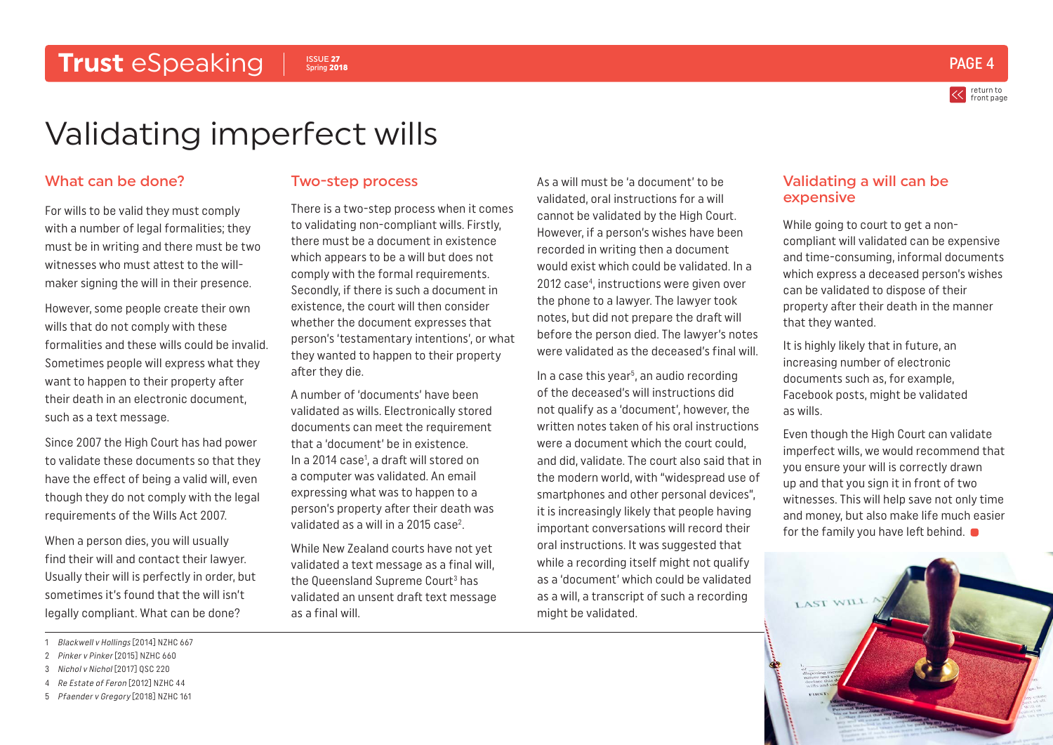

return to [front page](#page-0-0)

## <span id="page-3-0"></span>Validating imperfect wills

#### What can be done?

For wills to be valid they must comply with a number of legal formalities; they must be in writing and there must be two witnesses who must attest to the willmaker signing the will in their presence.

However, some people create their own wills that do not comply with these formalities and these wills could be invalid. Sometimes people will express what they want to happen to their property after their death in an electronic document, such as a text message.

Since 2007 the High Court has had power to validate these documents so that they have the effect of being a valid will, even though they do not comply with the legal requirements of the Wills Act 2007.

When a person dies, you will usually find their will and contact their lawyer. Usually their will is perfectly in order, but sometimes it's found that the will isn't legally compliant. What can be done?

- 1 Blackwell v Hollings [2014] NZHC 667
- 2 Pinker v Pinker [2015] NZHC 660
- 3 Nichol v Nichol [2017] QSC 220
- 4 Re Estate of Feron [2012] NZHC 44
- 5 Pfaender v Gregory [2018] NZHC 161

#### Two-step process

ISSUE 27 Spring 2018

There is a two-step process when it comes to validating non-compliant wills. Firstly, there must be a document in existence which appears to be a will but does not comply with the formal requirements. Secondly, if there is such a document in existence, the court will then consider whether the document expresses that person's 'testamentary intentions', or what they wanted to happen to their property after they die.

A number of 'documents' have been validated as wills. Electronically stored documents can meet the requirement that a 'document' be in existence. In a 2014 case<sup>1</sup>, a draft will stored on a computer was validated. An email expressing what was to happen to a person's property after their death was validated as a will in a 2015 case<sup>2</sup>.

While New Zealand courts have not yet validated a text message as a final will, the Queensland Supreme Court<sup>3</sup> has validated an unsent draft text message as a final will.

As a will must be 'a document' to be validated, oral instructions for a will cannot be validated by the High Court. However, if a person's wishes have been recorded in writing then a document would exist which could be validated. In a 2012 case4 , instructions were given over the phone to a lawyer. The lawyer took notes, but did not prepare the draft will before the person died. The lawyer's notes were validated as the deceased's final will.

In a case this year<sup>5</sup>, an audio recording of the deceased's will instructions did not qualify as a 'document', however, the written notes taken of his oral instructions were a document which the court could, and did, validate. The court also said that in the modern world, with "widespread use of smartphones and other personal devices", it is increasingly likely that people having important conversations will record their oral instructions. It was suggested that while a recording itself might not qualify as a 'document' which could be validated as a will, a transcript of such a recording might be validated.

#### Validating a will can be expensive

While going to court to get a noncompliant will validated can be expensive and time-consuming, informal documents which express a deceased person's wishes can be validated to dispose of their property after their death in the manner that they wanted.

It is highly likely that in future, an increasing number of electronic documents such as, for example, Facebook posts, might be validated as wills.

Even though the High Court can validate imperfect wills, we would recommend that you ensure your will is correctly drawn up and that you sign it in front of two witnesses. This will help save not only time and money, but also make life much easier for the family you have left behind.  $\bullet$